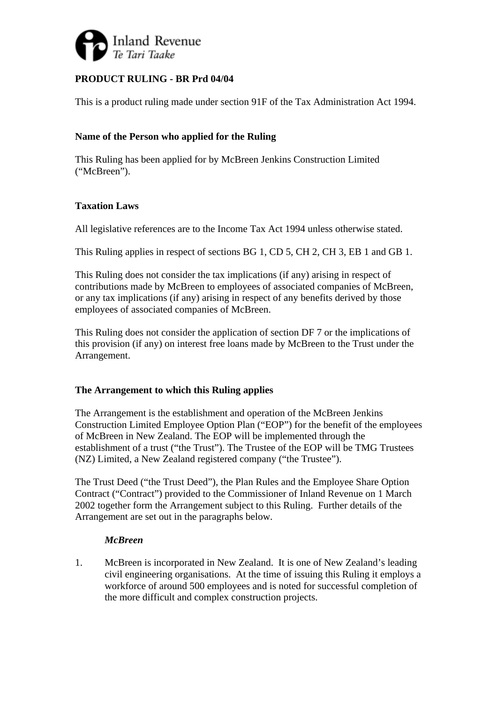

# **PRODUCT RULING - BR Prd 04/04**

This is a product ruling made under section 91F of the Tax Administration Act 1994.

# **Name of the Person who applied for the Ruling**

This Ruling has been applied for by McBreen Jenkins Construction Limited ("McBreen").

# **Taxation Laws**

All legislative references are to the Income Tax Act 1994 unless otherwise stated.

This Ruling applies in respect of sections BG 1, CD 5, CH 2, CH 3, EB 1 and GB 1.

This Ruling does not consider the tax implications (if any) arising in respect of contributions made by McBreen to employees of associated companies of McBreen, or any tax implications (if any) arising in respect of any benefits derived by those employees of associated companies of McBreen.

This Ruling does not consider the application of section DF 7 or the implications of this provision (if any) on interest free loans made by McBreen to the Trust under the Arrangement.

### **The Arrangement to which this Ruling applies**

The Arrangement is the establishment and operation of the McBreen Jenkins Construction Limited Employee Option Plan ("EOP") for the benefit of the employees of McBreen in New Zealand. The EOP will be implemented through the establishment of a trust ("the Trust"). The Trustee of the EOP will be TMG Trustees (NZ) Limited, a New Zealand registered company ("the Trustee").

The Trust Deed ("the Trust Deed"), the Plan Rules and the Employee Share Option Contract ("Contract") provided to the Commissioner of Inland Revenue on 1 March 2002 together form the Arrangement subject to this Ruling. Further details of the Arrangement are set out in the paragraphs below.

# *McBreen*

1. McBreen is incorporated in New Zealand. It is one of New Zealand's leading civil engineering organisations. At the time of issuing this Ruling it employs a workforce of around 500 employees and is noted for successful completion of the more difficult and complex construction projects.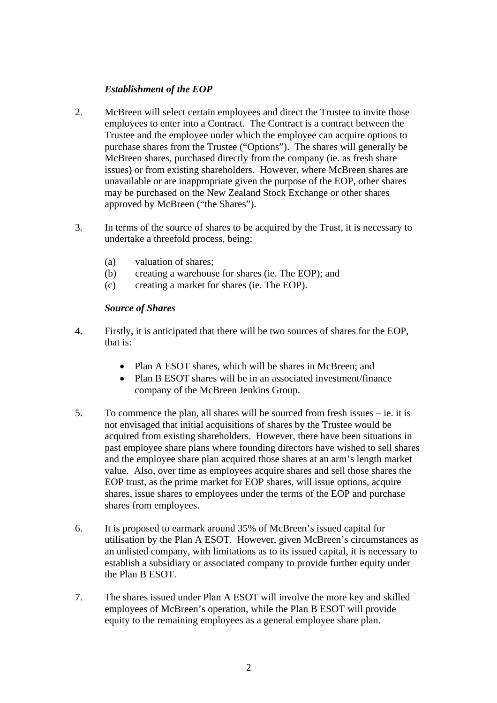# *Establishment of the EOP*

- 2. McBreen will select certain employees and direct the Trustee to invite those employees to enter into a Contract. The Contract is a contract between the Trustee and the employee under which the employee can acquire options to purchase shares from the Trustee ("Options"). The shares will generally be McBreen shares, purchased directly from the company (ie. as fresh share issues) or from existing shareholders. However, where McBreen shares are unavailable or are inappropriate given the purpose of the EOP, other shares may be purchased on the New Zealand Stock Exchange or other shares approved by McBreen ("the Shares").
- 3. In terms of the source of shares to be acquired by the Trust, it is necessary to undertake a threefold process, being:
	- (a) valuation of shares;
	- (b) creating a warehouse for shares (ie. The EOP); and
	- (c) creating a market for shares (ie. The EOP).

# *Source of Shares*

- 4. Firstly, it is anticipated that there will be two sources of shares for the EOP, that is:
	- Plan A ESOT shares, which will be shares in McBreen; and
	- Plan B ESOT shares will be in an associated investment/finance company of the McBreen Jenkins Group.
- 5. To commence the plan, all shares will be sourced from fresh issues ie. it is not envisaged that initial acquisitions of shares by the Trustee would be acquired from existing shareholders. However, there have been situations in past employee share plans where founding directors have wished to sell shares and the employee share plan acquired those shares at an arm's length market value. Also, over time as employees acquire shares and sell those shares the EOP trust, as the prime market for EOP shares, will issue options, acquire shares, issue shares to employees under the terms of the EOP and purchase shares from employees.
- 6. It is proposed to earmark around 35% of McBreen's issued capital for utilisation by the Plan A ESOT. However, given McBreen's circumstances as an unlisted company, with limitations as to its issued capital, it is necessary to establish a subsidiary or associated company to provide further equity under the Plan B ESOT.
- 7. The shares issued under Plan A ESOT will involve the more key and skilled employees of McBreen's operation, while the Plan B ESOT will provide equity to the remaining employees as a general employee share plan.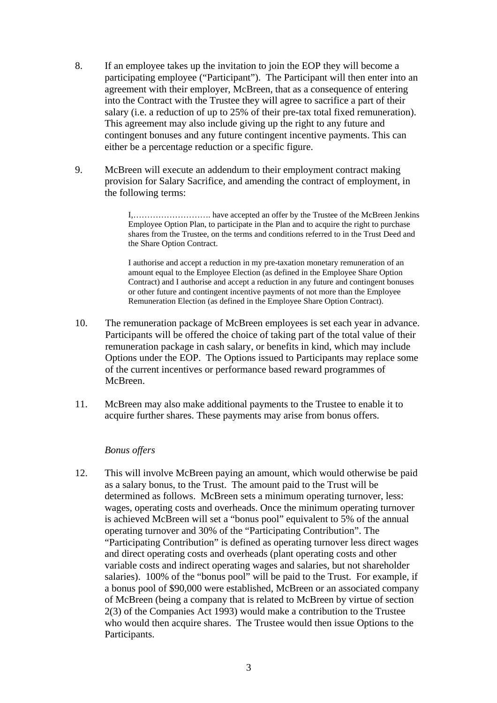- 8. If an employee takes up the invitation to join the EOP they will become a participating employee ("Participant"). The Participant will then enter into an agreement with their employer, McBreen, that as a consequence of entering into the Contract with the Trustee they will agree to sacrifice a part of their salary (i.e. a reduction of up to 25% of their pre-tax total fixed remuneration). This agreement may also include giving up the right to any future and contingent bonuses and any future contingent incentive payments. This can either be a percentage reduction or a specific figure.
- 9. McBreen will execute an addendum to their employment contract making provision for Salary Sacrifice, and amending the contract of employment, in the following terms:

 I,………………………. have accepted an offer by the Trustee of the McBreen Jenkins Employee Option Plan, to participate in the Plan and to acquire the right to purchase shares from the Trustee, on the terms and conditions referred to in the Trust Deed and the Share Option Contract.

I authorise and accept a reduction in my pre-taxation monetary remuneration of an amount equal to the Employee Election (as defined in the Employee Share Option Contract) and I authorise and accept a reduction in any future and contingent bonuses or other future and contingent incentive payments of not more than the Employee Remuneration Election (as defined in the Employee Share Option Contract).

- 10. The remuneration package of McBreen employees is set each year in advance. Participants will be offered the choice of taking part of the total value of their remuneration package in cash salary, or benefits in kind, which may include Options under the EOP. The Options issued to Participants may replace some of the current incentives or performance based reward programmes of McBreen.
- 11. McBreen may also make additional payments to the Trustee to enable it to acquire further shares. These payments may arise from bonus offers.

### *Bonus offers*

12. This will involve McBreen paying an amount, which would otherwise be paid as a salary bonus, to the Trust. The amount paid to the Trust will be determined as follows. McBreen sets a minimum operating turnover, less: wages, operating costs and overheads. Once the minimum operating turnover is achieved McBreen will set a "bonus pool" equivalent to 5% of the annual operating turnover and 30% of the "Participating Contribution". The "Participating Contribution" is defined as operating turnover less direct wages and direct operating costs and overheads (plant operating costs and other variable costs and indirect operating wages and salaries, but not shareholder salaries). 100% of the "bonus pool" will be paid to the Trust. For example, if a bonus pool of \$90,000 were established, McBreen or an associated company of McBreen (being a company that is related to McBreen by virtue of section 2(3) of the Companies Act 1993) would make a contribution to the Trustee who would then acquire shares. The Trustee would then issue Options to the Participants.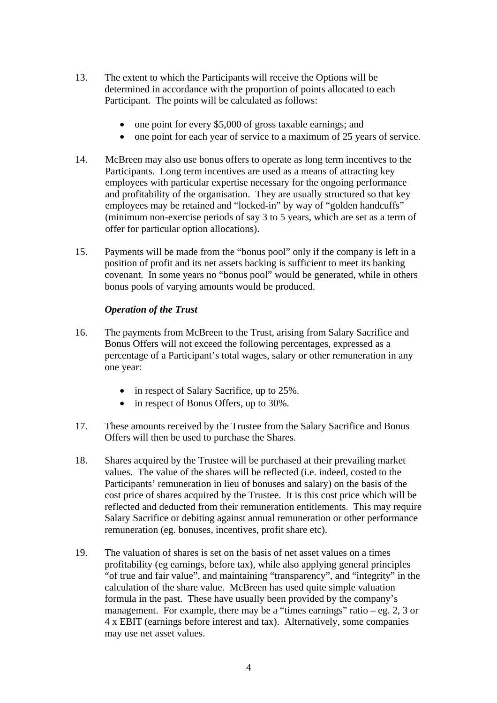- 13. The extent to which the Participants will receive the Options will be determined in accordance with the proportion of points allocated to each Participant. The points will be calculated as follows:
	- one point for every \$5,000 of gross taxable earnings; and
	- one point for each year of service to a maximum of 25 years of service.
- 14. McBreen may also use bonus offers to operate as long term incentives to the Participants. Long term incentives are used as a means of attracting key employees with particular expertise necessary for the ongoing performance and profitability of the organisation. They are usually structured so that key employees may be retained and "locked-in" by way of "golden handcuffs" (minimum non-exercise periods of say 3 to 5 years, which are set as a term of offer for particular option allocations).
- 15. Payments will be made from the "bonus pool" only if the company is left in a position of profit and its net assets backing is sufficient to meet its banking covenant. In some years no "bonus pool" would be generated, while in others bonus pools of varying amounts would be produced.

# *Operation of the Trust*

- 16. The payments from McBreen to the Trust, arising from Salary Sacrifice and Bonus Offers will not exceed the following percentages, expressed as a percentage of a Participant's total wages, salary or other remuneration in any one year:
	- in respect of Salary Sacrifice, up to 25%.
	- in respect of Bonus Offers, up to 30%.
- 17. These amounts received by the Trustee from the Salary Sacrifice and Bonus Offers will then be used to purchase the Shares.
- 18. Shares acquired by the Trustee will be purchased at their prevailing market values. The value of the shares will be reflected (i.e. indeed, costed to the Participants' remuneration in lieu of bonuses and salary) on the basis of the cost price of shares acquired by the Trustee. It is this cost price which will be reflected and deducted from their remuneration entitlements. This may require Salary Sacrifice or debiting against annual remuneration or other performance remuneration (eg. bonuses, incentives, profit share etc).
- 19. The valuation of shares is set on the basis of net asset values on a times profitability (eg earnings, before tax), while also applying general principles "of true and fair value", and maintaining "transparency", and "integrity" in the calculation of the share value. McBreen has used quite simple valuation formula in the past. These have usually been provided by the company's management. For example, there may be a "times earnings" ratio – eg. 2, 3 or 4 x EBIT (earnings before interest and tax). Alternatively, some companies may use net asset values.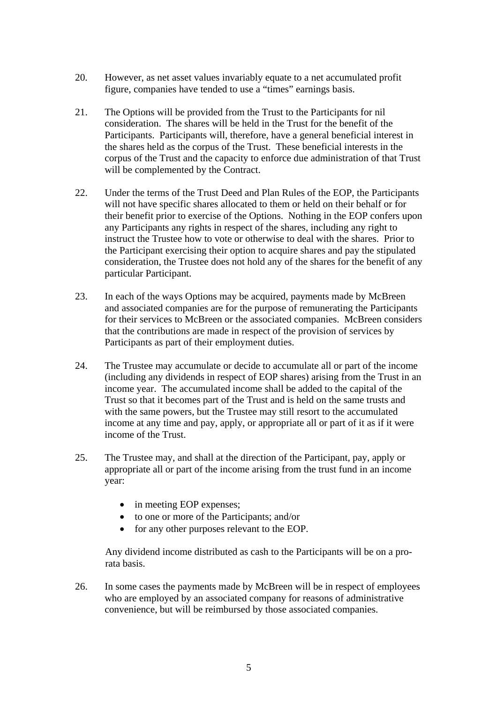- 20. However, as net asset values invariably equate to a net accumulated profit figure, companies have tended to use a "times" earnings basis.
- 21. The Options will be provided from the Trust to the Participants for nil consideration. The shares will be held in the Trust for the benefit of the Participants. Participants will, therefore, have a general beneficial interest in the shares held as the corpus of the Trust. These beneficial interests in the corpus of the Trust and the capacity to enforce due administration of that Trust will be complemented by the Contract.
- 22. Under the terms of the Trust Deed and Plan Rules of the EOP, the Participants will not have specific shares allocated to them or held on their behalf or for their benefit prior to exercise of the Options. Nothing in the EOP confers upon any Participants any rights in respect of the shares, including any right to instruct the Trustee how to vote or otherwise to deal with the shares. Prior to the Participant exercising their option to acquire shares and pay the stipulated consideration, the Trustee does not hold any of the shares for the benefit of any particular Participant.
- 23. In each of the ways Options may be acquired, payments made by McBreen and associated companies are for the purpose of remunerating the Participants for their services to McBreen or the associated companies. McBreen considers that the contributions are made in respect of the provision of services by Participants as part of their employment duties.
- 24. The Trustee may accumulate or decide to accumulate all or part of the income (including any dividends in respect of EOP shares) arising from the Trust in an income year. The accumulated income shall be added to the capital of the Trust so that it becomes part of the Trust and is held on the same trusts and with the same powers, but the Trustee may still resort to the accumulated income at any time and pay, apply, or appropriate all or part of it as if it were income of the Trust.
- 25. The Trustee may, and shall at the direction of the Participant, pay, apply or appropriate all or part of the income arising from the trust fund in an income year:
	- in meeting EOP expenses;
	- to one or more of the Participants; and/or
	- for any other purposes relevant to the EOP.

Any dividend income distributed as cash to the Participants will be on a prorata basis.

26. In some cases the payments made by McBreen will be in respect of employees who are employed by an associated company for reasons of administrative convenience, but will be reimbursed by those associated companies.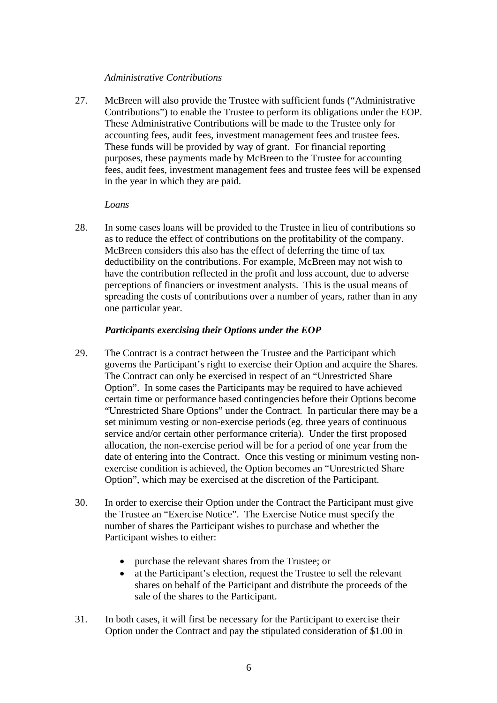### *Administrative Contributions*

27. McBreen will also provide the Trustee with sufficient funds ("Administrative Contributions") to enable the Trustee to perform its obligations under the EOP. These Administrative Contributions will be made to the Trustee only for accounting fees, audit fees, investment management fees and trustee fees. These funds will be provided by way of grant. For financial reporting purposes, these payments made by McBreen to the Trustee for accounting fees, audit fees, investment management fees and trustee fees will be expensed in the year in which they are paid.

### *Loans*

28. In some cases loans will be provided to the Trustee in lieu of contributions so as to reduce the effect of contributions on the profitability of the company. McBreen considers this also has the effect of deferring the time of tax deductibility on the contributions. For example, McBreen may not wish to have the contribution reflected in the profit and loss account, due to adverse perceptions of financiers or investment analysts. This is the usual means of spreading the costs of contributions over a number of years, rather than in any one particular year.

# *Participants exercising their Options under the EOP*

- 29. The Contract is a contract between the Trustee and the Participant which governs the Participant's right to exercise their Option and acquire the Shares. The Contract can only be exercised in respect of an "Unrestricted Share Option". In some cases the Participants may be required to have achieved certain time or performance based contingencies before their Options become "Unrestricted Share Options" under the Contract. In particular there may be a set minimum vesting or non-exercise periods (eg. three years of continuous service and/or certain other performance criteria). Under the first proposed allocation, the non-exercise period will be for a period of one year from the date of entering into the Contract. Once this vesting or minimum vesting nonexercise condition is achieved, the Option becomes an "Unrestricted Share Option", which may be exercised at the discretion of the Participant.
- 30. In order to exercise their Option under the Contract the Participant must give the Trustee an "Exercise Notice". The Exercise Notice must specify the number of shares the Participant wishes to purchase and whether the Participant wishes to either:
	- purchase the relevant shares from the Trustee; or
	- at the Participant's election, request the Trustee to sell the relevant shares on behalf of the Participant and distribute the proceeds of the sale of the shares to the Participant.
- 31. In both cases, it will first be necessary for the Participant to exercise their Option under the Contract and pay the stipulated consideration of \$1.00 in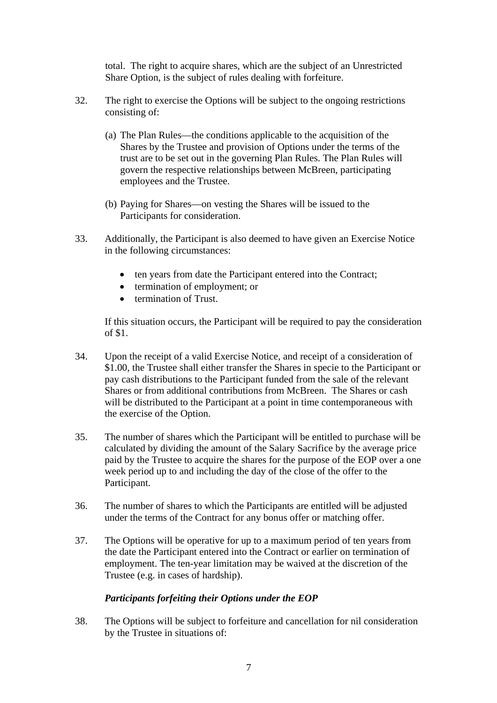total. The right to acquire shares, which are the subject of an Unrestricted Share Option, is the subject of rules dealing with forfeiture.

- 32. The right to exercise the Options will be subject to the ongoing restrictions consisting of:
	- (a) The Plan Rules—the conditions applicable to the acquisition of the Shares by the Trustee and provision of Options under the terms of the trust are to be set out in the governing Plan Rules. The Plan Rules will govern the respective relationships between McBreen, participating employees and the Trustee.
	- (b) Paying for Shares—on vesting the Shares will be issued to the Participants for consideration.
- 33. Additionally, the Participant is also deemed to have given an Exercise Notice in the following circumstances:
	- ten years from date the Participant entered into the Contract;
	- termination of employment; or
	- termination of Trust.

If this situation occurs, the Participant will be required to pay the consideration of \$1.

- 34. Upon the receipt of a valid Exercise Notice, and receipt of a consideration of \$1.00, the Trustee shall either transfer the Shares in specie to the Participant or pay cash distributions to the Participant funded from the sale of the relevant Shares or from additional contributions from McBreen. The Shares or cash will be distributed to the Participant at a point in time contemporaneous with the exercise of the Option.
- 35. The number of shares which the Participant will be entitled to purchase will be calculated by dividing the amount of the Salary Sacrifice by the average price paid by the Trustee to acquire the shares for the purpose of the EOP over a one week period up to and including the day of the close of the offer to the Participant.
- 36. The number of shares to which the Participants are entitled will be adjusted under the terms of the Contract for any bonus offer or matching offer.
- 37. The Options will be operative for up to a maximum period of ten years from the date the Participant entered into the Contract or earlier on termination of employment. The ten-year limitation may be waived at the discretion of the Trustee (e.g. in cases of hardship).

### *Participants forfeiting their Options under the EOP*

38. The Options will be subject to forfeiture and cancellation for nil consideration by the Trustee in situations of: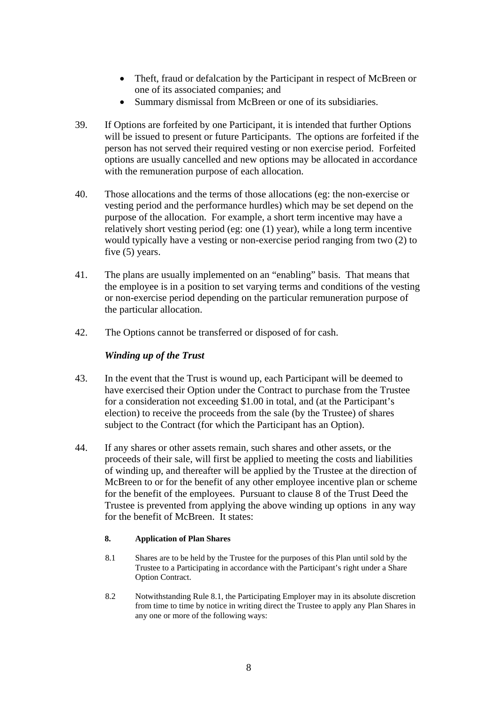- Theft, fraud or defalcation by the Participant in respect of McBreen or one of its associated companies; and
- Summary dismissal from McBreen or one of its subsidiaries.
- 39. If Options are forfeited by one Participant, it is intended that further Options will be issued to present or future Participants. The options are forfeited if the person has not served their required vesting or non exercise period. Forfeited options are usually cancelled and new options may be allocated in accordance with the remuneration purpose of each allocation.
- 40. Those allocations and the terms of those allocations (eg: the non-exercise or vesting period and the performance hurdles) which may be set depend on the purpose of the allocation. For example, a short term incentive may have a relatively short vesting period (eg: one (1) year), while a long term incentive would typically have a vesting or non-exercise period ranging from two (2) to five (5) years.
- 41. The plans are usually implemented on an "enabling" basis. That means that the employee is in a position to set varying terms and conditions of the vesting or non-exercise period depending on the particular remuneration purpose of the particular allocation.
- 42. The Options cannot be transferred or disposed of for cash.

### *Winding up of the Trust*

- 43. In the event that the Trust is wound up, each Participant will be deemed to have exercised their Option under the Contract to purchase from the Trustee for a consideration not exceeding \$1.00 in total, and (at the Participant's election) to receive the proceeds from the sale (by the Trustee) of shares subject to the Contract (for which the Participant has an Option).
- 44. If any shares or other assets remain, such shares and other assets, or the proceeds of their sale, will first be applied to meeting the costs and liabilities of winding up, and thereafter will be applied by the Trustee at the direction of McBreen to or for the benefit of any other employee incentive plan or scheme for the benefit of the employees. Pursuant to clause 8 of the Trust Deed the Trustee is prevented from applying the above winding up options in any way for the benefit of McBreen. It states:

#### **8. Application of Plan Shares**

- 8.1 Shares are to be held by the Trustee for the purposes of this Plan until sold by the Trustee to a Participating in accordance with the Participant's right under a Share Option Contract.
- 8.2 Notwithstanding Rule 8.1, the Participating Employer may in its absolute discretion from time to time by notice in writing direct the Trustee to apply any Plan Shares in any one or more of the following ways: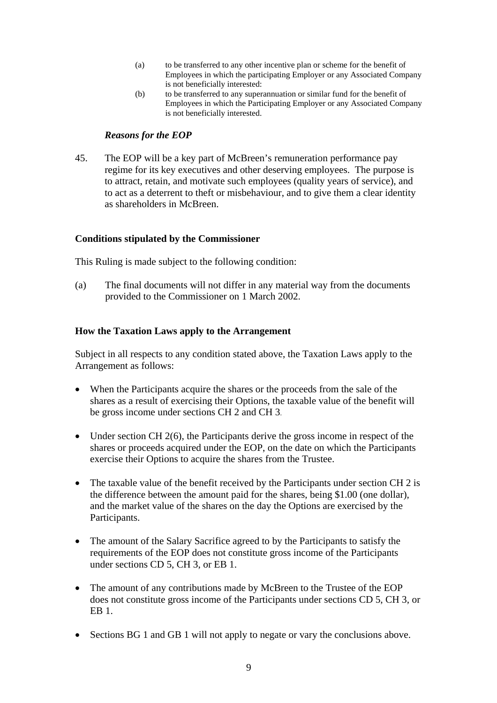- (a) to be transferred to any other incentive plan or scheme for the benefit of Employees in which the participating Employer or any Associated Company is not beneficially interested:
- (b) to be transferred to any superannuation or similar fund for the benefit of Employees in which the Participating Employer or any Associated Company is not beneficially interested.

# *Reasons for the EOP*

45. The EOP will be a key part of McBreen's remuneration performance pay regime for its key executives and other deserving employees. The purpose is to attract, retain, and motivate such employees (quality years of service), and to act as a deterrent to theft or misbehaviour, and to give them a clear identity as shareholders in McBreen.

# **Conditions stipulated by the Commissioner**

This Ruling is made subject to the following condition:

(a) The final documents will not differ in any material way from the documents provided to the Commissioner on 1 March 2002.

# **How the Taxation Laws apply to the Arrangement**

Subject in all respects to any condition stated above, the Taxation Laws apply to the Arrangement as follows:

- When the Participants acquire the shares or the proceeds from the sale of the shares as a result of exercising their Options, the taxable value of the benefit will be gross income under sections CH 2 and CH 3.
- Under section CH 2(6), the Participants derive the gross income in respect of the shares or proceeds acquired under the EOP, on the date on which the Participants exercise their Options to acquire the shares from the Trustee.
- The taxable value of the benefit received by the Participants under section CH 2 is the difference between the amount paid for the shares, being \$1.00 (one dollar), and the market value of the shares on the day the Options are exercised by the Participants.
- The amount of the Salary Sacrifice agreed to by the Participants to satisfy the requirements of the EOP does not constitute gross income of the Participants under sections CD 5, CH 3, or EB 1.
- The amount of any contributions made by McBreen to the Trustee of the EOP does not constitute gross income of the Participants under sections CD 5, CH 3, or EB 1.
- Sections BG 1 and GB 1 will not apply to negate or vary the conclusions above.